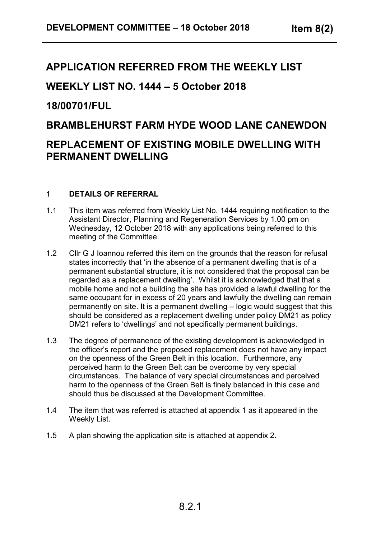# **APPLICATION REFERRED FROM THE WEEKLY LIST**

# **WEEKLY LIST NO. 1444 – 5 October 2018**

# **18/00701/FUL**

## **BRAMBLEHURST FARM HYDE WOOD LANE CANEWDON**

# **REPLACEMENT OF EXISTING MOBILE DWELLING WITH PERMANENT DWELLING**

## 1 **DETAILS OF REFERRAL**

- 1.1 This item was referred from Weekly List No. 1444 requiring notification to the Assistant Director, Planning and Regeneration Services by 1.00 pm on Wednesday, 12 October 2018 with any applications being referred to this meeting of the Committee.
- 1.2 Cllr G J Ioannou referred this item on the grounds that the reason for refusal states incorrectly that 'in the absence of a permanent dwelling that is of a permanent substantial structure, it is not considered that the proposal can be regarded as a replacement dwelling'. Whilst it is acknowledged that that a mobile home and not a building the site has provided a lawful dwelling for the same occupant for in excess of 20 years and lawfully the dwelling can remain permanently on site. It is a permanent dwelling – logic would suggest that this should be considered as a replacement dwelling under policy DM21 as policy DM21 refers to 'dwellings' and not specifically permanent buildings.
- 1.3 The degree of permanence of the existing development is acknowledged in the officer's report and the proposed replacement does not have any impact on the openness of the Green Belt in this location. Furthermore, any perceived harm to the Green Belt can be overcome by very special circumstances. The balance of very special circumstances and perceived harm to the openness of the Green Belt is finely balanced in this case and should thus be discussed at the Development Committee.
- 1.4 The item that was referred is attached at appendix 1 as it appeared in the Weekly List.
- 1.5 A plan showing the application site is attached at appendix 2.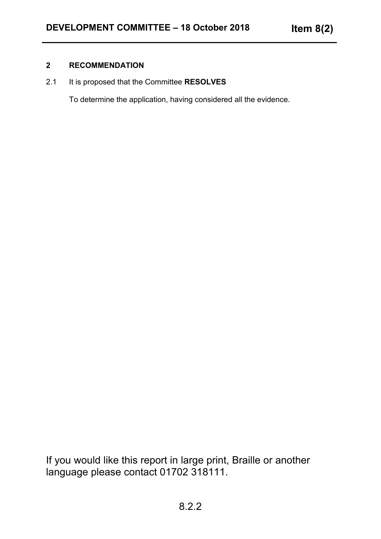#### **2 RECOMMENDATION**

2.1 It is proposed that the Committee **RESOLVES**

To determine the application, having considered all the evidence.

If you would like this report in large print, Braille or another language please contact 01702 318111.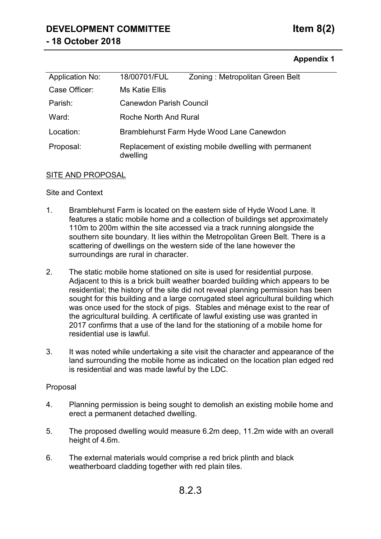# **DEVELOPMENT COMMITTEE Item 8(2) - 18 October 2018**

## **Appendix 1**

| Application No: | 18/00701/FUL                                                       | Zoning: Metropolitan Green Belt |
|-----------------|--------------------------------------------------------------------|---------------------------------|
| Case Officer:   | Ms Katie Ellis                                                     |                                 |
| Parish:         | <b>Canewdon Parish Council</b>                                     |                                 |
| Ward:           | Roche North And Rural                                              |                                 |
| Location:       | Bramblehurst Farm Hyde Wood Lane Canewdon                          |                                 |
| Proposal:       | Replacement of existing mobile dwelling with permanent<br>dwelling |                                 |

#### SITE AND PROPOSAL

#### Site and Context

- 1. Bramblehurst Farm is located on the eastern side of Hyde Wood Lane. It features a static mobile home and a collection of buildings set approximately 110m to 200m within the site accessed via a track running alongside the southern site boundary. It lies within the Metropolitan Green Belt. There is a scattering of dwellings on the western side of the lane however the surroundings are rural in character.
- 2. The static mobile home stationed on site is used for residential purpose. Adjacent to this is a brick built weather boarded building which appears to be residential; the history of the site did not reveal planning permission has been sought for this building and a large corrugated steel agricultural building which was once used for the stock of pigs. Stables and ménage exist to the rear of the agricultural building. A certificate of lawful existing use was granted in 2017 confirms that a use of the land for the stationing of a mobile home for residential use is lawful.
- 3. It was noted while undertaking a site visit the character and appearance of the land surrounding the mobile home as indicated on the location plan edged red is residential and was made lawful by the LDC.

#### Proposal

- 4. Planning permission is being sought to demolish an existing mobile home and erect a permanent detached dwelling.
- 5. The proposed dwelling would measure 6.2m deep, 11.2m wide with an overall height of 4.6m.
- 6. The external materials would comprise a red brick plinth and black weatherboard cladding together with red plain tiles.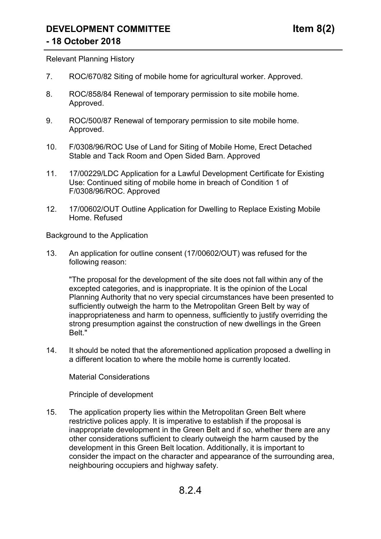#### Relevant Planning History

- 7. ROC/670/82 Siting of mobile home for agricultural worker. Approved.
- 8. ROC/858/84 Renewal of temporary permission to site mobile home. Approved.
- 9. ROC/500/87 Renewal of temporary permission to site mobile home. Approved.
- 10. F/0308/96/ROC Use of Land for Siting of Mobile Home, Erect Detached Stable and Tack Room and Open Sided Barn. Approved
- 11. 17/00229/LDC Application for a Lawful Development Certificate for Existing Use: Continued siting of mobile home in breach of Condition 1 of F/0308/96/ROC. Approved
- 12. 17/00602/OUT Outline Application for Dwelling to Replace Existing Mobile Home. Refused

Background to the Application

13. An application for outline consent (17/00602/OUT) was refused for the following reason:

"The proposal for the development of the site does not fall within any of the excepted categories, and is inappropriate. It is the opinion of the Local Planning Authority that no very special circumstances have been presented to sufficiently outweigh the harm to the Metropolitan Green Belt by way of inappropriateness and harm to openness, sufficiently to justify overriding the strong presumption against the construction of new dwellings in the Green Belt."

14. It should be noted that the aforementioned application proposed a dwelling in a different location to where the mobile home is currently located.

Material Considerations

Principle of development

15. The application property lies within the Metropolitan Green Belt where restrictive polices apply. It is imperative to establish if the proposal is inappropriate development in the Green Belt and if so, whether there are any other considerations sufficient to clearly outweigh the harm caused by the development in this Green Belt location. Additionally, it is important to consider the impact on the character and appearance of the surrounding area, neighbouring occupiers and highway safety.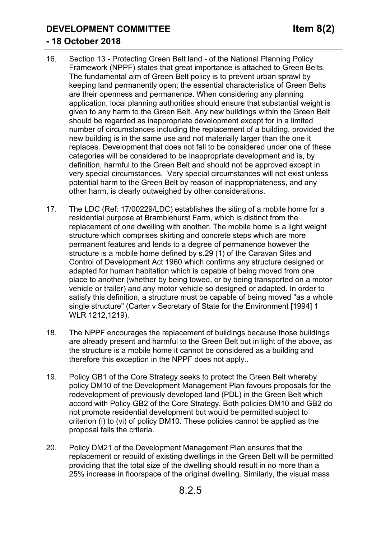## **DEVELOPMENT COMMITTEE Item 8(2)**

## **- 18 October 2018**

- 16. Section 13 Protecting Green Belt land of the National Planning Policy Framework (NPPF) states that great importance is attached to Green Belts. The fundamental aim of Green Belt policy is to prevent urban sprawl by keeping land permanently open; the essential characteristics of Green Belts are their openness and permanence. When considering any planning application, local planning authorities should ensure that substantial weight is given to any harm to the Green Belt. Any new buildings within the Green Belt should be regarded as inappropriate development except for in a limited number of circumstances including the replacement of a building, provided the new building is in the same use and not materially larger than the one it replaces. Development that does not fall to be considered under one of these categories will be considered to be inappropriate development and is, by definition, harmful to the Green Belt and should not be approved except in very special circumstances. Very special circumstances will not exist unless potential harm to the Green Belt by reason of inappropriateness, and any other harm, is clearly outweighed by other considerations.
- 17. The LDC (Ref: 17/00229/LDC) establishes the siting of a mobile home for a residential purpose at Bramblehurst Farm, which is distinct from the replacement of one dwelling with another. The mobile home is a light weight structure which comprises skirting and concrete steps which are more permanent features and lends to a degree of permanence however the structure is a mobile home defined by s.29 (1) of the Caravan Sites and Control of Development Act 1960 which confirms any structure designed or adapted for human habitation which is capable of being moved from one place to another (whether by being towed, or by being transported on a motor vehicle or trailer) and any motor vehicle so designed or adapted. In order to satisfy this definition, a structure must be capable of being moved "as a whole single structure" (Carter v Secretary of State for the Environment [1994] 1 WLR 1212,1219).
- 18. The NPPF encourages the replacement of buildings because those buildings are already present and harmful to the Green Belt but in light of the above, as the structure is a mobile home it cannot be considered as a building and therefore this exception in the NPPF does not apply..
- 19. Policy GB1 of the Core Strategy seeks to protect the Green Belt whereby policy DM10 of the Development Management Plan favours proposals for the redevelopment of previously developed land (PDL) in the Green Belt which accord with Policy GB2 of the Core Strategy. Both policies DM10 and GB2 do not promote residential development but would be permitted subject to criterion (i) to (vi) of policy DM10. These policies cannot be applied as the proposal fails the criteria.
- 20. Policy DM21 of the Development Management Plan ensures that the replacement or rebuild of existing dwellings in the Green Belt will be permitted providing that the total size of the dwelling should result in no more than a 25% increase in floorspace of the original dwelling. Similarly, the visual mass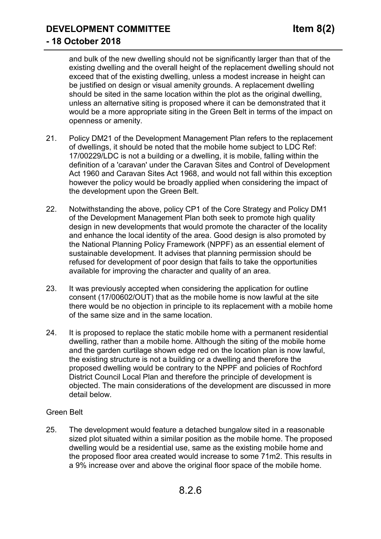**DEVELOPMENT COMMITTEE Item 8(2)**

## **- 18 October 2018**

and bulk of the new dwelling should not be significantly larger than that of the existing dwelling and the overall height of the replacement dwelling should not exceed that of the existing dwelling, unless a modest increase in height can be justified on design or visual amenity grounds. A replacement dwelling should be sited in the same location within the plot as the original dwelling, unless an alternative siting is proposed where it can be demonstrated that it would be a more appropriate siting in the Green Belt in terms of the impact on openness or amenity.

- 21. Policy DM21 of the Development Management Plan refers to the replacement of dwellings, it should be noted that the mobile home subject to LDC Ref: 17/00229/LDC is not a building or a dwelling, it is mobile, falling within the definition of a 'caravan' under the Caravan Sites and Control of Development Act 1960 and Caravan Sites Act 1968, and would not fall within this exception however the policy would be broadly applied when considering the impact of the development upon the Green Belt.
- 22. Notwithstanding the above, policy CP1 of the Core Strategy and Policy DM1 of the Development Management Plan both seek to promote high quality design in new developments that would promote the character of the locality and enhance the local identity of the area. Good design is also promoted by the National Planning Policy Framework (NPPF) as an essential element of sustainable development. It advises that planning permission should be refused for development of poor design that fails to take the opportunities available for improving the character and quality of an area.
- 23. It was previously accepted when considering the application for outline consent (17/00602/OUT) that as the mobile home is now lawful at the site there would be no objection in principle to its replacement with a mobile home of the same size and in the same location.
- 24. It is proposed to replace the static mobile home with a permanent residential dwelling, rather than a mobile home. Although the siting of the mobile home and the garden curtilage shown edge red on the location plan is now lawful, the existing structure is not a building or a dwelling and therefore the proposed dwelling would be contrary to the NPPF and policies of Rochford District Council Local Plan and therefore the principle of development is objected. The main considerations of the development are discussed in more detail below.

## Green Belt

25. The development would feature a detached bungalow sited in a reasonable sized plot situated within a similar position as the mobile home. The proposed dwelling would be a residential use, same as the existing mobile home and the proposed floor area created would increase to some 71m2. This results in a 9% increase over and above the original floor space of the mobile home.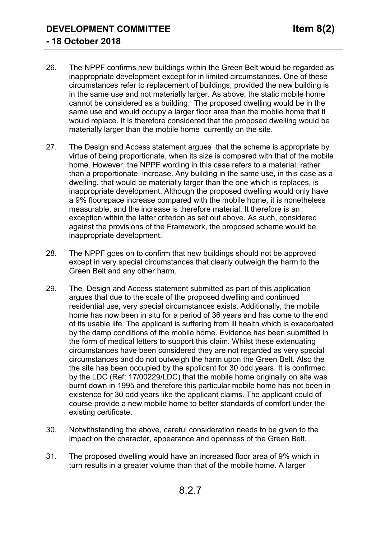- 26. The NPPF confirms new buildings within the Green Belt would be regarded as inappropriate development except for in limited circumstances. One of these circumstances refer to replacement of buildings, provided the new building is in the same use and not materially larger. As above, the static mobile home cannot be considered as a building. The proposed dwelling would be in the same use and would occupy a larger floor area than the mobile home that it would replace. It is therefore considered that the proposed dwelling would be materially larger than the mobile home currently on the site.
- 27. The Design and Access statement argues that the scheme is appropriate by virtue of being proportionate, when its size is compared with that of the mobile home. However, the NPPF wording in this case refers to a material, rather than a proportionate, increase. Any building in the same use, in this case as a dwelling, that would be materially larger than the one which is replaces, is inappropriate development. Although the proposed dwelling would only have a 9% floorspace increase compared with the mobile home, it is nonetheless measurable, and the increase is therefore material. It therefore is an exception within the latter criterion as set out above. As such, considered against the provisions of the Framework, the proposed scheme would be inappropriate development.
- 28. The NPPF goes on to confirm that new buildings should not be approved except in very special circumstances that clearly outweigh the harm to the Green Belt and any other harm.
- 29. The Design and Access statement submitted as part of this application argues that due to the scale of the proposed dwelling and continued residential use, very special circumstances exists. Additionally, the mobile home has now been in situ for a period of 36 years and has come to the end of its usable life. The applicant is suffering from ill health which is exacerbated by the damp conditions of the mobile home. Evidence has been submitted in the form of medical letters to support this claim. Whilst these extenuating circumstances have been considered they are not regarded as very special circumstances and do not outweigh the harm upon the Green Belt. Also the the site has been occupied by the applicant for 30 odd years. It is confirmed by the LDC (Ref: 17/00229/LDC) that the mobile home originally on site was burnt down in 1995 and therefore this particular mobile home has not been in existence for 30 odd years like the applicant claims. The applicant could of course provide a new mobile home to better standards of comfort under the existing certificate.
- 30. Notwithstanding the above, careful consideration needs to be given to the impact on the character, appearance and openness of the Green Belt.
- 31. The proposed dwelling would have an increased floor area of 9% which in turn results in a greater volume than that of the mobile home. A larger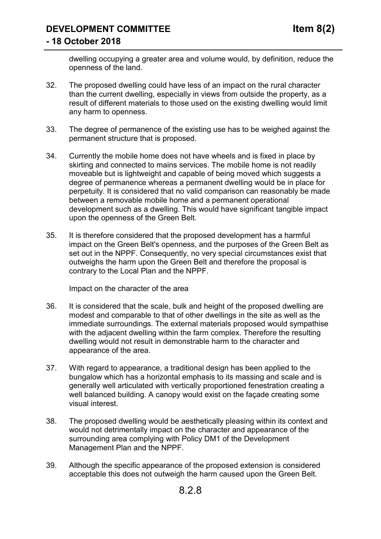dwelling occupying a greater area and volume would, by definition, reduce the openness of the land.

- 32. The proposed dwelling could have less of an impact on the rural character than the current dwelling, especially in views from outside the property, as a result of different materials to those used on the existing dwelling would limit any harm to openness.
- 33. The degree of permanence of the existing use has to be weighed against the permanent structure that is proposed.
- 34. Currently the mobile home does not have wheels and is fixed in place by skirting and connected to mains services. The mobile home is not readily moveable but is lightweight and capable of being moved which suggests a degree of permanence whereas a permanent dwelling would be in place for perpetuity. It is considered that no valid comparison can reasonably be made between a removable mobile home and a permanent operational development such as a dwelling. This would have significant tangible impact upon the openness of the Green Belt.
- 35. It is therefore considered that the proposed development has a harmful impact on the Green Belt's openness, and the purposes of the Green Belt as set out in the NPPF. Consequently, no very special circumstances exist that outweighs the harm upon the Green Belt and therefore the proposal is contrary to the Local Plan and the NPPF.

Impact on the character of the area

- 36. It is considered that the scale, bulk and height of the proposed dwelling are modest and comparable to that of other dwellings in the site as well as the immediate surroundings. The external materials proposed would sympathise with the adjacent dwelling within the farm complex. Therefore the resulting dwelling would not result in demonstrable harm to the character and appearance of the area.
- 37. With regard to appearance, a traditional design has been applied to the bungalow which has a horizontal emphasis to its massing and scale and is generally well articulated with vertically proportioned fenestration creating a well balanced building. A canopy would exist on the façade creating some visual interest.
- 38. The proposed dwelling would be aesthetically pleasing within its context and would not detrimentally impact on the character and appearance of the surrounding area complying with Policy DM1 of the Development Management Plan and the NPPF.
- 39. Although the specific appearance of the proposed extension is considered acceptable this does not outweigh the harm caused upon the Green Belt.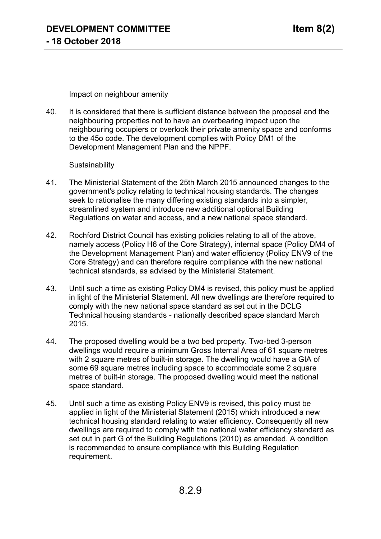Impact on neighbour amenity

40. It is considered that there is sufficient distance between the proposal and the neighbouring properties not to have an overbearing impact upon the neighbouring occupiers or overlook their private amenity space and conforms to the 45o code. The development complies with Policy DM1 of the Development Management Plan and the NPPF.

#### **Sustainability**

- 41. The Ministerial Statement of the 25th March 2015 announced changes to the government's policy relating to technical housing standards. The changes seek to rationalise the many differing existing standards into a simpler, streamlined system and introduce new additional optional Building Regulations on water and access, and a new national space standard.
- 42. Rochford District Council has existing policies relating to all of the above, namely access (Policy H6 of the Core Strategy), internal space (Policy DM4 of the Development Management Plan) and water efficiency (Policy ENV9 of the Core Strategy) and can therefore require compliance with the new national technical standards, as advised by the Ministerial Statement.
- 43. Until such a time as existing Policy DM4 is revised, this policy must be applied in light of the Ministerial Statement. All new dwellings are therefore required to comply with the new national space standard as set out in the DCLG Technical housing standards - nationally described space standard March 2015.
- 44. The proposed dwelling would be a two bed property. Two-bed 3-person dwellings would require a minimum Gross Internal Area of 61 square metres with 2 square metres of built-in storage. The dwelling would have a GIA of some 69 square metres including space to accommodate some 2 square metres of built-in storage. The proposed dwelling would meet the national space standard.
- 45. Until such a time as existing Policy ENV9 is revised, this policy must be applied in light of the Ministerial Statement (2015) which introduced a new technical housing standard relating to water efficiency. Consequently all new dwellings are required to comply with the national water efficiency standard as set out in part G of the Building Regulations (2010) as amended. A condition is recommended to ensure compliance with this Building Regulation requirement.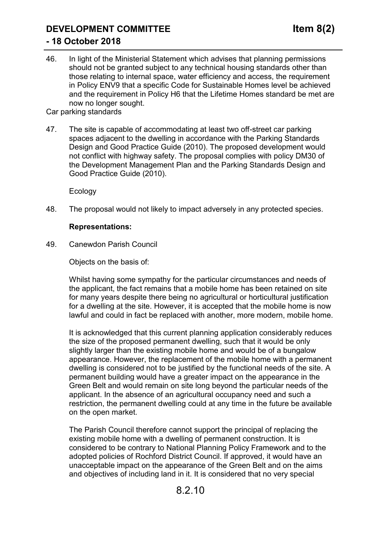# **DEVELOPMENT COMMITTEE Item 8(2)**

## **- 18 October 2018**

46. In light of the Ministerial Statement which advises that planning permissions should not be granted subject to any technical housing standards other than those relating to internal space, water efficiency and access, the requirement in Policy ENV9 that a specific Code for Sustainable Homes level be achieved and the requirement in Policy H6 that the Lifetime Homes standard be met are now no longer sought.

Car parking standards

47. The site is capable of accommodating at least two off-street car parking spaces adjacent to the dwelling in accordance with the Parking Standards Design and Good Practice Guide (2010). The proposed development would not conflict with highway safety. The proposal complies with policy DM30 of the Development Management Plan and the Parking Standards Design and Good Practice Guide (2010).

Ecology

48. The proposal would not likely to impact adversely in any protected species.

#### **Representations:**

49. Canewdon Parish Council

Objects on the basis of:

Whilst having some sympathy for the particular circumstances and needs of the applicant, the fact remains that a mobile home has been retained on site for many years despite there being no agricultural or horticultural justification for a dwelling at the site. However, it is accepted that the mobile home is now lawful and could in fact be replaced with another, more modern, mobile home.

It is acknowledged that this current planning application considerably reduces the size of the proposed permanent dwelling, such that it would be only slightly larger than the existing mobile home and would be of a bungalow appearance. However, the replacement of the mobile home with a permanent dwelling is considered not to be justified by the functional needs of the site. A permanent building would have a greater impact on the appearance in the Green Belt and would remain on site long beyond the particular needs of the applicant. In the absence of an agricultural occupancy need and such a restriction, the permanent dwelling could at any time in the future be available on the open market.

The Parish Council therefore cannot support the principal of replacing the existing mobile home with a dwelling of permanent construction. It is considered to be contrary to National Planning Policy Framework and to the adopted policies of Rochford District Council. If approved, it would have an unacceptable impact on the appearance of the Green Belt and on the aims and objectives of including land in it. It is considered that no very special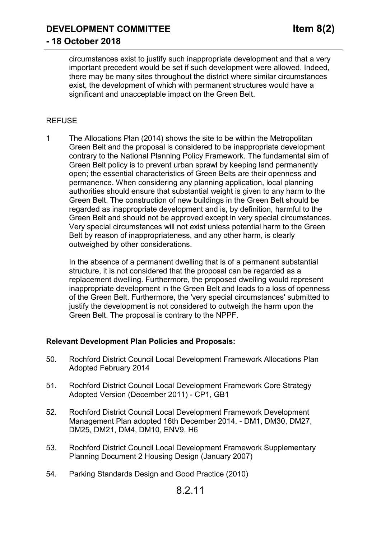circumstances exist to justify such inappropriate development and that a very important precedent would be set if such development were allowed. Indeed, there may be many sites throughout the district where similar circumstances exist, the development of which with permanent structures would have a significant and unacceptable impact on the Green Belt.

## REFUSE

1 The Allocations Plan (2014) shows the site to be within the Metropolitan Green Belt and the proposal is considered to be inappropriate development contrary to the National Planning Policy Framework. The fundamental aim of Green Belt policy is to prevent urban sprawl by keeping land permanently open; the essential characteristics of Green Belts are their openness and permanence. When considering any planning application, local planning authorities should ensure that substantial weight is given to any harm to the Green Belt. The construction of new buildings in the Green Belt should be regarded as inappropriate development and is, by definition, harmful to the Green Belt and should not be approved except in very special circumstances. Very special circumstances will not exist unless potential harm to the Green Belt by reason of inappropriateness, and any other harm, is clearly outweighed by other considerations.

In the absence of a permanent dwelling that is of a permanent substantial structure, it is not considered that the proposal can be regarded as a replacement dwelling. Furthermore, the proposed dwelling would represent inappropriate development in the Green Belt and leads to a loss of openness of the Green Belt. Furthermore, the 'very special circumstances' submitted to justify the development is not considered to outweigh the harm upon the Green Belt. The proposal is contrary to the NPPF.

#### **Relevant Development Plan Policies and Proposals:**

- 50. Rochford District Council Local Development Framework Allocations Plan Adopted February 2014
- 51. Rochford District Council Local Development Framework Core Strategy Adopted Version (December 2011) - CP1, GB1
- 52. Rochford District Council Local Development Framework Development Management Plan adopted 16th December 2014. - DM1, DM30, DM27, DM25, DM21, DM4, DM10, ENV9, H6
- 53. Rochford District Council Local Development Framework Supplementary Planning Document 2 Housing Design (January 2007)
- 54. Parking Standards Design and Good Practice (2010)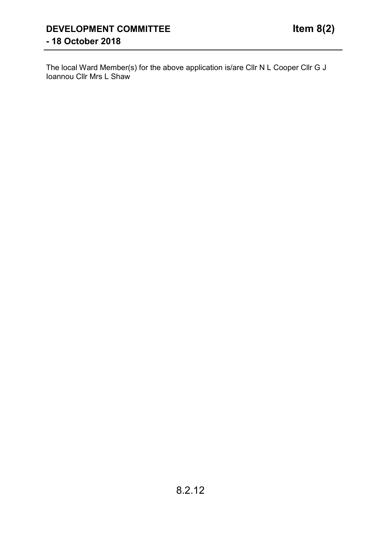The local Ward Member(s) for the above application is/are Cllr N L Cooper Cllr G J Ioannou Cllr Mrs L Shaw